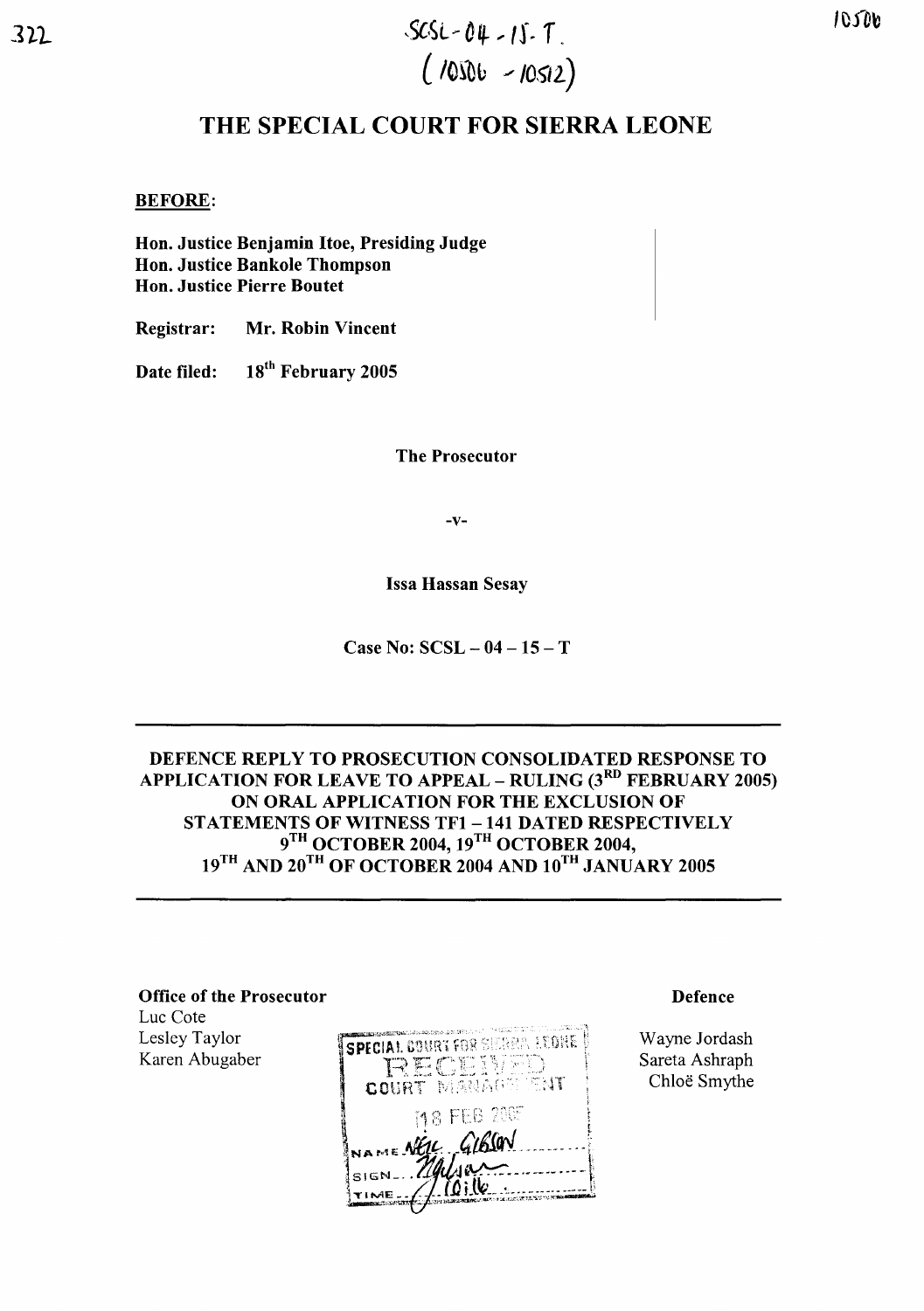# $322$  SCSL-04-15-7.  $(1000 - 10512)$

# **THE SPECIAL COURT FOR SIERRA LEONE**

#### BEFORE:

Hon. Justice Benjamin Hoe, Presiding Judge Hon. Justice Bankole Thompson Hon. Justice Pierre Boutet

Registrar: Mr. Robin Vincent

Date filed: 18<sup>th</sup> February 2005

The Prosecutor

-v-

Issa Hassan Sesay

Case No:  $SCSL - 04 - 15 - T$ 

## DEFENCE REPLY TO PROSECUTION CONSOLIDATED RESPONSE TO APPLICATION FOR LEAVE TO APPEAL – RULING  $(3^{RD}$  FEBRUARY 2005) ON ORAL APPLICATION FOR THE EXCLUSION OF STATEMENTS OF WITNESS TFl-141 DATED RESPECTIVELY  $9^{\mathrm{TH}}$  OCTOBER 2004, 19 $^{\mathrm{TH}}$  OCTOBER 2004,  $19^{\mathrm{TH}}$  AND  $20^{\mathrm{TH}}$  OF OCTOBER 2004 AND  $10^{\mathrm{TH}}$  JANUARY 2005

#### Office of the Prosecutor

Luc Cote Lesley Taylor Karen Abugaber

SPECIAL BOURT FOR SURRALLEDNE **RECEIVED** 18 FEB 2007 VAME NEW GIBSON

#### Defence

Wayne Jordash Sareta Ashraph Chloe Smythe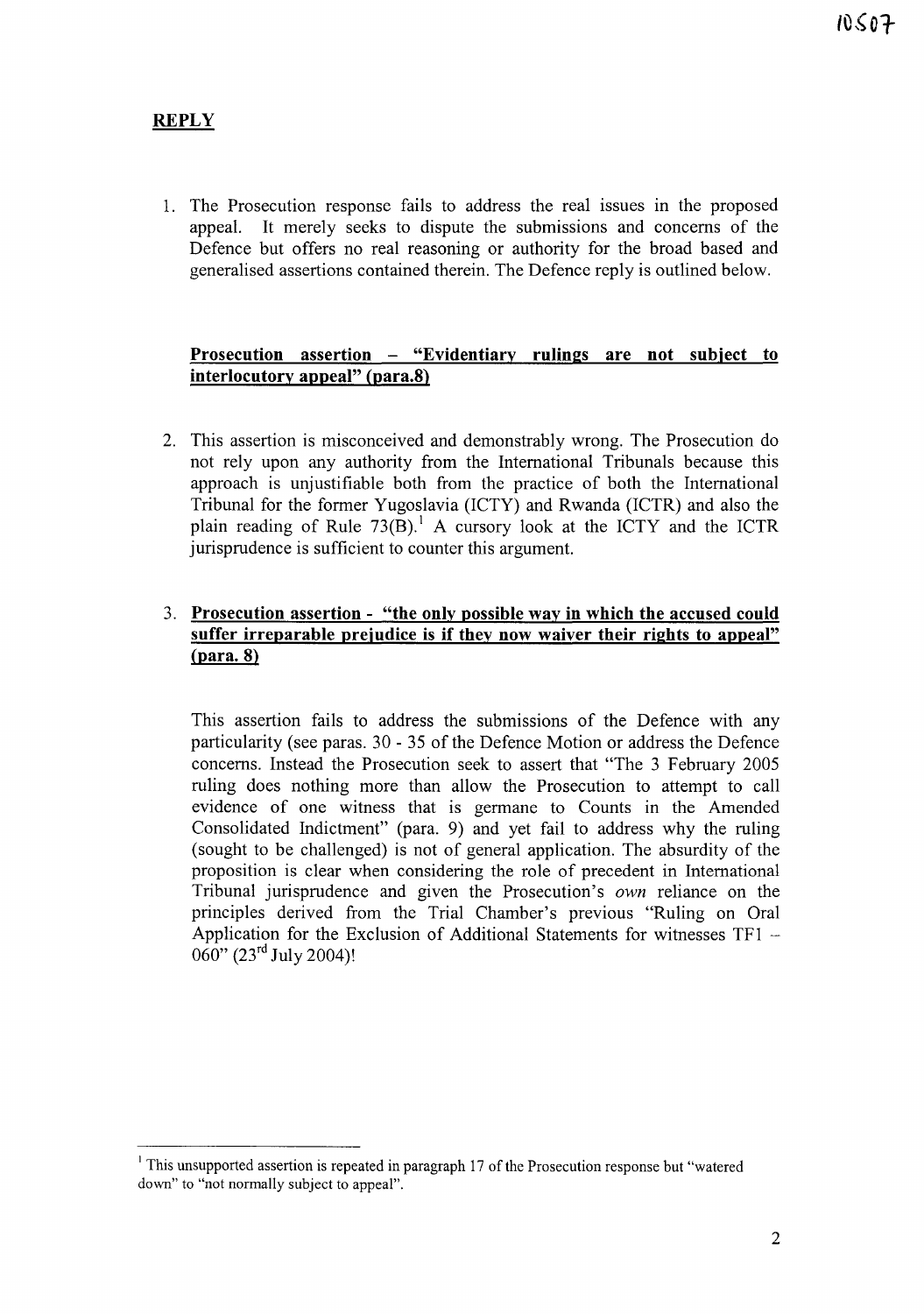## **REPLY**

1. The Prosecution response fails to address the real issues in the proposed appeal. It merely seeks to dispute the submissions and concerns of the Defence but offers no real reasoning or authority for the broad based and generalised assertions contained therein. The Defence reply is outlined below.

#### **Prosecution assertion - "Evidentiary rulings are not subject to interlocutory appeal" (para.8)**

2. This assertion is misconceived and demonstrably wrong. The Prosecution do not rely upon any authority from the International Tribunals because this approach is unjustifiable both from the practice of both the International Tribunal for the former Yugoslavia (ICTY) and Rwanda (ICTR) and also the plain reading of Rule  $73(B)$ .<sup>1</sup> A cursory look at the ICTY and the ICTR jurisprudence is sufficient to counter this argument.

### 3. **Prosecution assertion - "the only possible way in which the accused could suffer irreparable prejudice is if they now waiver their rights to appeal"** (para. 8)

This assertion fails to address the submissions of the Defence with any particularity (see paras. 30 - 35 of the Defence Motion or address the Defence concerns. Instead the Prosecution seek to assert that "The 3 February 2005 ruling does nothing more than allow the Prosecution to attempt to call evidence of one witness that is germane to Counts in the Amended Consolidated Indictment" (para. 9) and yet fail to address why the ruling (sought to be challenged) is not of general application. The absurdity of the proposition is clear when considering the role of precedent in International Tribunal jurisprudence and given the Prosecution's *own* reliance on the principles derived from the Trial Chamber's previous "Ruling on Oral Application for the Exclusion of Additional Statements for witnesses TFI - 060" (23<sup>rd</sup> July 2004)!

<sup>&</sup>lt;sup>1</sup> This unsupported assertion is repeated in paragraph 17 of the Prosecution response but "watered" down" to "not normally subject to appeal".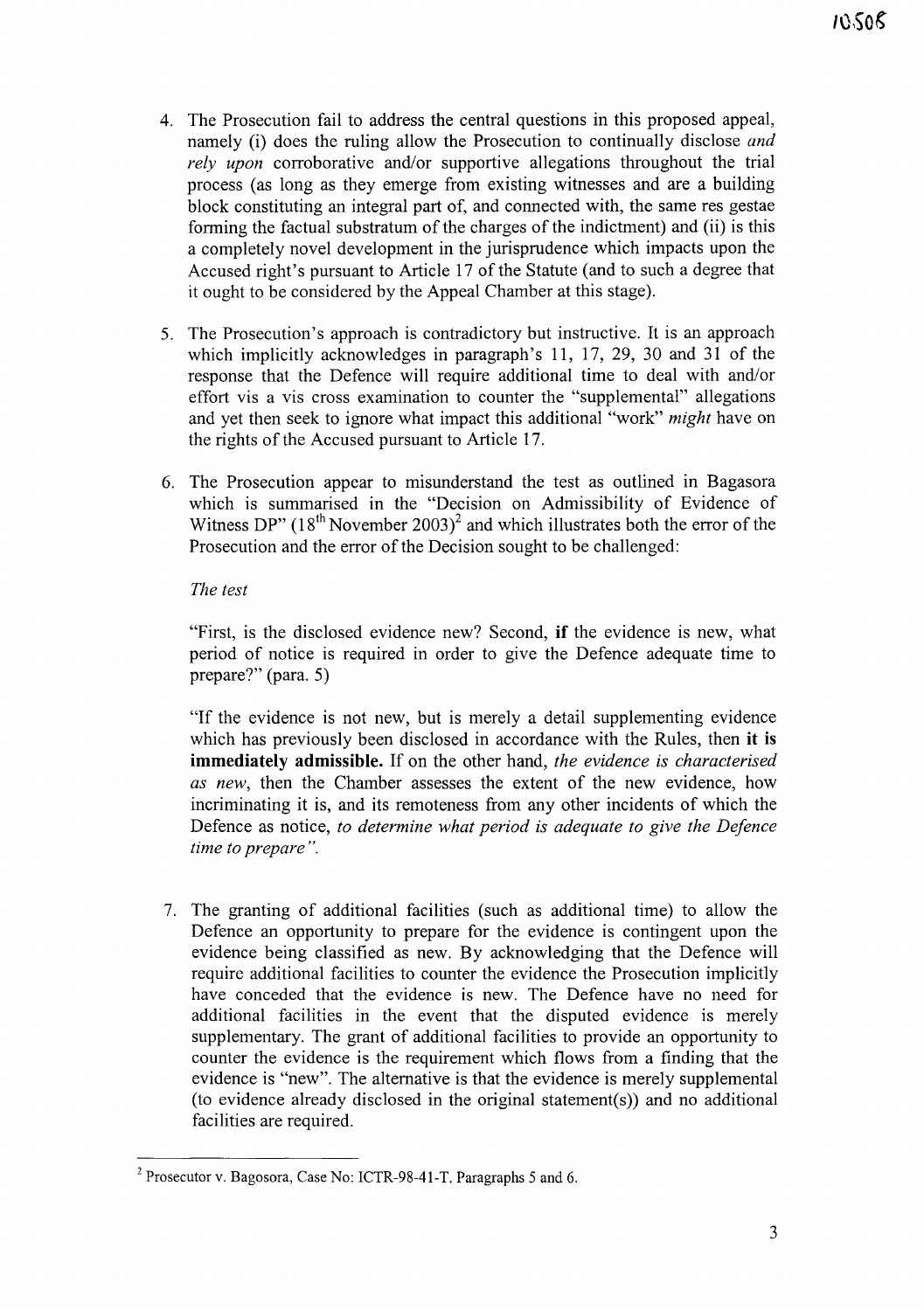- 4. The Prosecution fail to address the central questions in this proposed appeal, namely (i) does the ruling allow the Prosecution to continually disclose *and rely upon* corroborative and/or supportive allegations throughout the trial process (as long as they emerge from existing witnesses and are a building block constituting an integral part of, and connected with, the same res gestae forming the factual substratum of the charges of the indictment) and (ii) is this a completely novel development in the jurisprudence which impacts upon the Accused right's pursuant to Article 17 of the Statute (and to such a degree that it ought to be considered by the Appeal Chamber at this stage).
- 5. The Prosecution's approach is contradictory but instructive. It is an approach which implicitly acknowledges in paragraph's 11, 17, 29, 30 and 31 of the response that the Defence will require additional time to deal with and/or effort vis a vis cross examination to counter the "supplemental" allegations and yet then seek to ignore what impact this additional "work" *might* have on the rights of the Accused pursuant to Article 17.
- 6. The Prosecution appear to misunderstand the test as outlined in Bagasora which is summarised in the "Decision on Admissibility of Evidence of Witness DP"  $(18<sup>th</sup>$  November 2003)<sup>2</sup> and which illustrates both the error of the Prosecution and the error of the Decision sought to be challenged:

#### *The test*

"First, is the disclosed evidence new? Second, **if** the evidence is new, what period of notice is required in order to give the Defence adequate time to prepare?" (para. 5)

"If the evidence is not new, but is merely a detail supplementing evidence which has previously been disclosed in accordance with the Rules, then **it is immediately admissible.** If on the other hand, *the evidence is characterised as new,* then the Chamber assesses the extent of the new evidence, how incriminating it is, and its remoteness from any other incidents of which the Defence as notice, *to determine what period is adequate to give the Defence time to prepare* ".

7. The granting of additional facilities (such as additional time) to allow the Defence an opportunity to prepare for the evidence is contingent upon the evidence being classified as new. By acknowledging that the Defence will require additional facilities to counter the evidence the Prosecution implicitly have conceded that the evidence is new. The Defence have no need for additional facilities in the event that the disputed evidence is merely supplementary. The grant of additional facilities to provide an opportunity to counter the evidence is the requirement which flows from a finding that the evidence is "new". The alternative is that the evidence is merely supplemental (to evidence already disclosed in the original statement(s)) and no additional facilities are required.

<sup>2</sup> Prosecutor v. Bagosora, Case No: ICTR-98-41-T. Paragraphs 5 and 6.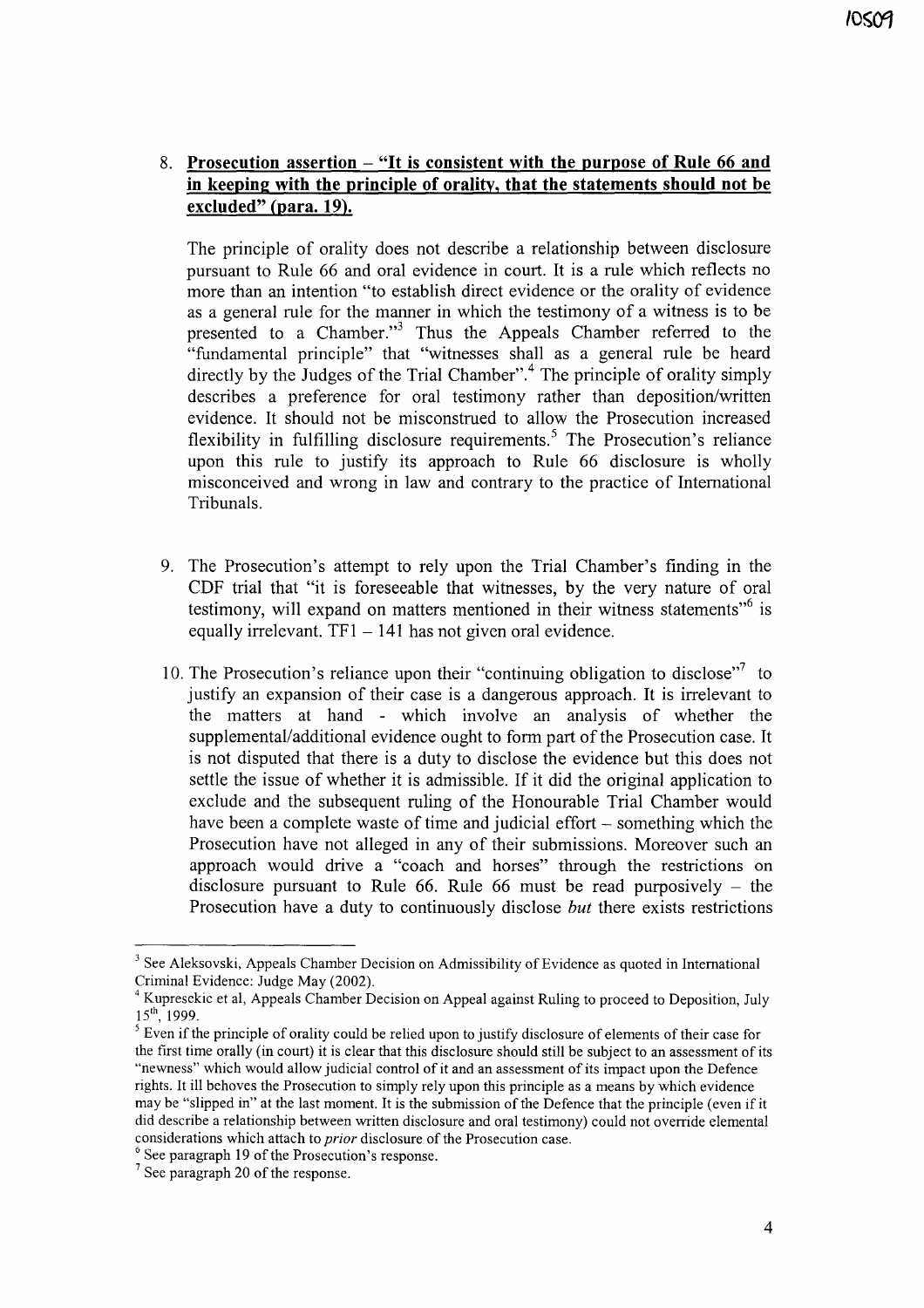### 8. **Prosecution assertion - "It is consistent with the purpose of Rule 66 and in keeping with the principle of orality, that the statements should not be excluded" (para. 19).**

The principle of orality does not describe a relationship between disclosure pursuant to Rule 66 and oral evidence in court. It is a rule which reflects no more than an intention "to establish direct evidence or the orality of evidence as a general rule for the manner in which the testimony of a witness is to be presented to a Chamber."<sup>3</sup> Thus the Appeals Chamber referred to the "fundamental principle" that "witnesses shall as a general rule be heard directly by the Judges of the Trial Chamber".<sup>4</sup> The principle of orality simply describes a preference for oral testimony rather than deposition/written evidence. It should not be misconstrued to allow the Prosecution increased flexibility in fulfilling disclosure requirements.<sup>5</sup> The Prosecution's reliance upon this rule to justify its approach to Rule 66 disclosure is wholly misconceived and wrong in law and contrary to the practice of International Tribunals.

- 9. The Prosecution's attempt to rely upon the Trial Chamber's finding in the CDF trial that "it is foreseeable that witnesses, by the very nature of oral testimony, will expand on matters mentioned in their witness statements<sup> $,6$ </sup> is equally irrelevant.  $TF1 - 141$  has not given oral evidence.
- 10. The Prosecution's reliance upon their "continuing obligation to disclose"<sup>7</sup> to justify an expansion of their case is a dangerous approach. It is irrelevant to the matters at hand - which involve an analysis of whether the supplemental/additional evidence ought to form part of the Prosecution case. It is not disputed that there is a duty to disclose the evidence but this does not settle the issue of whether it is admissible. If it did the original application to exclude and the subsequent ruling of the Honourable Trial Chamber would have been a complete waste of time and judicial effort – something which the Prosecution have not alleged in any of their submissions. Moreover such an approach would drive a "coach and horses" through the restrictions on disclosure pursuant to Rule 66. Rule 66 must be read purposively  $-$  the Prosecution have a duty to continuously disclose *but* there exists restrictions

<sup>&</sup>lt;sup>3</sup> See Aleksovski, Appeals Chamber Decision on Admissibility of Evidence as quoted in International Criminal Evidence: Judge May (2002).

<sup>4</sup> Kupresekic et aI, Appeals Chamber Decision on Appeal against Ruling to proceed to Deposition, July  $15^{th}$ , 1999.

 $<sup>5</sup>$  Even if the principle of orality could be relied upon to justify disclosure of elements of their case for</sup> the first time orally (in court) it is clear that this disclosure should still be subject to an assessment ofits "newness" which would allow judicial control of it and an assessment ofits impact upon the Defence rights. It ill behoves the Prosecution to simply rely upon this principle as a means by which evidence may be "slipped in" at the last moment. It is the submission of the Defence that the principle (even if it did describe a relationship between written disclosure and oral testimony) could not override elemental considerations which attach to prior disclosure of the Prosecution case.

 $6$  See paragraph 19 of the Prosecution's response.

 $7$  See paragraph 20 of the response.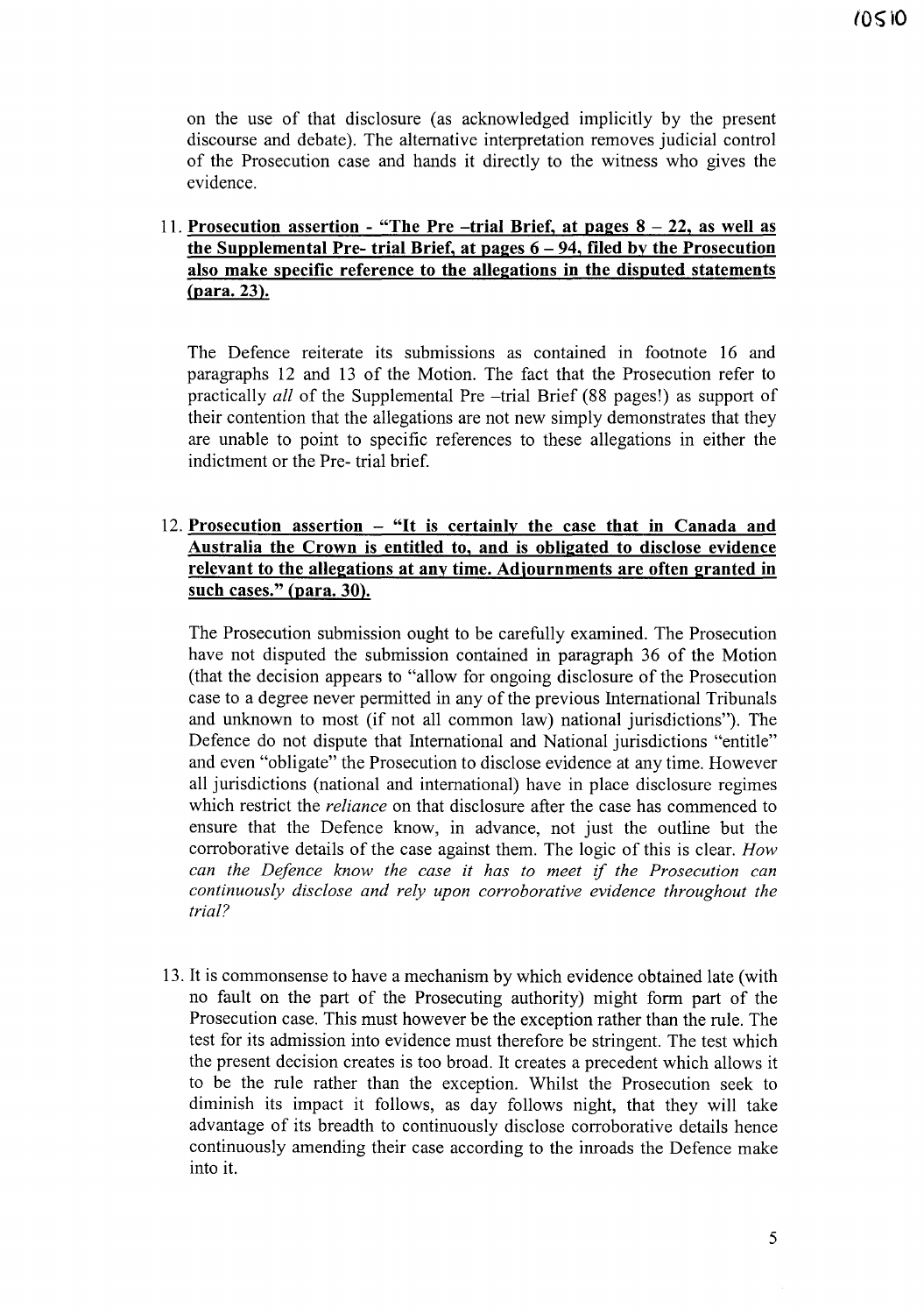on the use of that disclosure (as acknowledged implicitly by the present discourse and debate). The alternative interpretation removes judicial control of the Prosecution case and hands it directly to the witness who gives the evidence.

### 11. **Prosecution assertion - "The Pre -trial Brief, at pages 8 - 22, as well as the Supplemental Pre- trial Brief, at pages 6 - 94, filed by the Prosecution also make specific reference to the allegations in the disputed statements** (para. 23).

The Defence reiterate its submissions as contained in footnote 16 and paragraphs 12 and 13 of the Motion. The fact that the Prosecution refer to practically *all* of the Supplemental Pre -trial Brief (88 pages!) as support of their contention that the allegations are not new simply demonstrates that they are unable to point to specific references to these allegations in either the indictment or the Pre- trial brief.

#### 12. **Prosecution assertion - "It is certainly the case that in Canada and Australia the Crown is entitled to, and is obligated to disclose evidence relevant to the allegations at any time. Adjournments are often granted in such cases." (para. 30).**

The Prosecution submission ought to be carefully examined. The Prosecution have not disputed the submission contained in paragraph 36 of the Motion (that the decision appears to "allow for ongoing disclosure of the Prosecution case to a degree never permitted in any of the previous International Tribunals and unknown to most (if not all common law) national jurisdictions"). The Defence do not dispute that International and National jurisdictions "entitle" and even "obligate" the Prosecution to disclose evidence at any time. However all jurisdictions (national and international) have in place disclosure regimes which restrict the *reliance* on that disclosure after the case has commenced to ensure that the Defence know, in advance, not just the outline but the corroborative details of the case against them. The logic of this is clear. *How can the Defence know the case it has to meet* if *the Prosecution can continuously disclose and rely upon corroborative evidence throughout the trial?*

13. It is commonsense to have a mechanism by which evidence obtained late (with no fault on the part of the Prosecuting authority) might form part of the Prosecution case. This must however be the exception rather than the rule. The test for its admission into evidence must therefore be stringent. The test which the present decision creates is too broad. It creates a precedent which allows it to be the rule rather than the exception. Whilst the Prosecution seek to diminish its impact it follows, as day follows night, that they will take advantage of its breadth to continuously disclose corroborative details hence continuously amending their case according to the imoads the Defence make into it.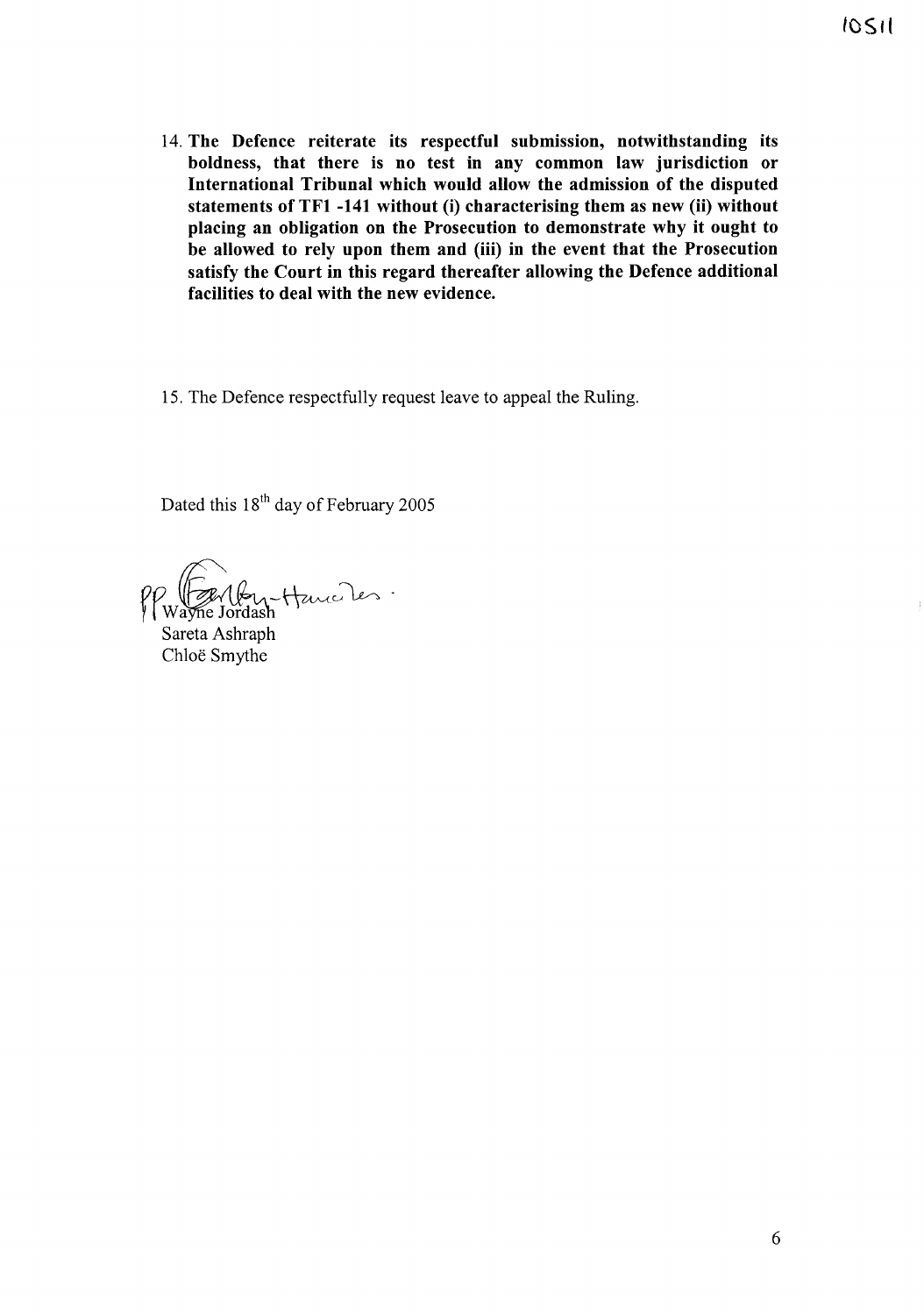- 14. The Defence reiterate its respectful submission, notwithstanding its boldness, that there is no test in any common law jurisdiction or International Tribunal which would allow the admission of the disputed statements of TFI -141 without (i) characterising them as new (ii) without placing an obligation on the Prosecution to demonstrate why it ought to be allowed to rely upon them and (iii) in the event that the Prosecution satisfy the Court in this regard thereafter allowing the Defence additional facilities to deal with the new evidence.
- 15. The Defence respectfully request leave to appeal the Ruling.

Dated this 18<sup>th</sup> day of February 2005

 $\mathcal{C}$ ) (Frittant Hauce)<br>Wayne Jordash

Sareta Ashraph Chloe Smythe